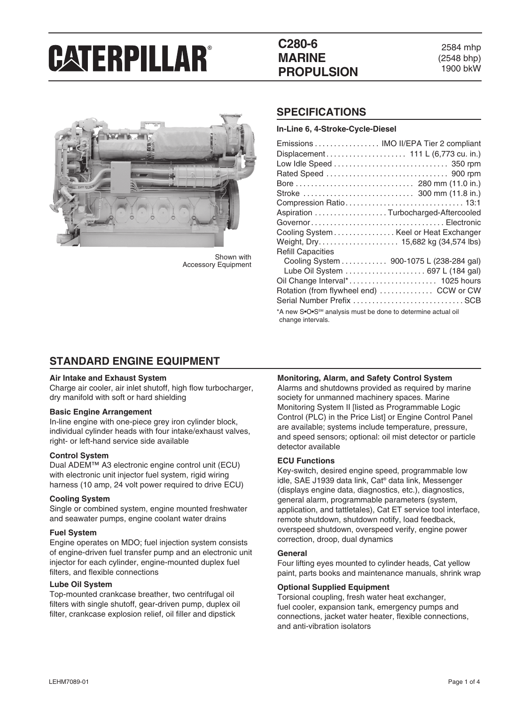## **C280-6 MARINE PROPULSION**

2584 mhp (2548 bhp) 1900 bkW



Shown with Accessory Equipment

### **SPECIFICATIONS**

**In-Line 6, 4-Stroke-Cycle-Diesel**

| Emissions  IMO II/EPA Tier 2 compliant                                                        |  |  |  |
|-----------------------------------------------------------------------------------------------|--|--|--|
|                                                                                               |  |  |  |
|                                                                                               |  |  |  |
|                                                                                               |  |  |  |
|                                                                                               |  |  |  |
|                                                                                               |  |  |  |
|                                                                                               |  |  |  |
| Aspiration Turbocharged-Aftercooled                                                           |  |  |  |
|                                                                                               |  |  |  |
| Cooling System Keel or Heat Exchanger                                                         |  |  |  |
| Weight, Dry 15,682 kg (34,574 lbs)                                                            |  |  |  |
| <b>Refill Capacities</b>                                                                      |  |  |  |
| Cooling System 900-1075 L (238-284 gal)                                                       |  |  |  |
| Lube Oil System  697 L (184 gal)                                                              |  |  |  |
|                                                                                               |  |  |  |
| Rotation (from flywheel end)  CCW or CW                                                       |  |  |  |
|                                                                                               |  |  |  |
| *A new S•O•S <sup>SM</sup> analysis must be done to determine actual oil<br>change intervals. |  |  |  |

### **STANDARD ENGINE EQUIPMENT**

#### **Air Intake and Exhaust System**

Charge air cooler, air inlet shutoff, high flow turbocharger, dry manifold with soft or hard shielding

#### **Basic Engine Arrangement**

In-line engine with one-piece grey iron cylinder block, individual cylinder heads with four intake/exhaust valves, right- or left-hand service side available

#### **Control System**

Dual ADEM™ A3 electronic engine control unit (ECU) with electronic unit injector fuel system, rigid wiring harness (10 amp, 24 volt power required to drive ECU)

#### **Cooling System**

Single or combined system, engine mounted freshwater and seawater pumps, engine coolant water drains

#### **Fuel System**

Engine operates on MDO; fuel injection system consists of engine-driven fuel transfer pump and an electronic unit injector for each cylinder, engine-mounted duplex fuel filters, and flexible connections

#### **Lube Oil System**

Top-mounted crankcase breather, two centrifugal oil filters with single shutoff, gear-driven pump, duplex oil filter, crankcase explosion relief, oil filler and dipstick

#### **Monitoring, Alarm, and Safety Control System**

Alarms and shutdowns provided as required by marine society for unmanned machinery spaces. Marine Monitoring System II [listed as Programmable Logic Control (PLC) in the Price List] or Engine Control Panel are available; systems include temperature, pressure, and speed sensors; optional: oil mist detector or particle detector available

#### **ECU Functions**

Key-switch, desired engine speed, programmable low idle, SAE J1939 data link, Cat® data link, Messenger (displays engine data, diagnostics, etc.), diagnostics, general alarm, programmable parameters (system, application, and tattletales), Cat ET service tool interface, remote shutdown, shutdown notify, load feedback, overspeed shutdown, overspeed verify, engine power correction, droop, dual dynamics

#### **General**

Four lifting eyes mounted to cylinder heads, Cat yellow paint, parts books and maintenance manuals, shrink wrap

#### **Optional Supplied Equipment**

Torsional coupling, fresh water heat exchanger, fuel cooler, expansion tank, emergency pumps and connections, jacket water heater, flexible connections, and anti-vibration isolators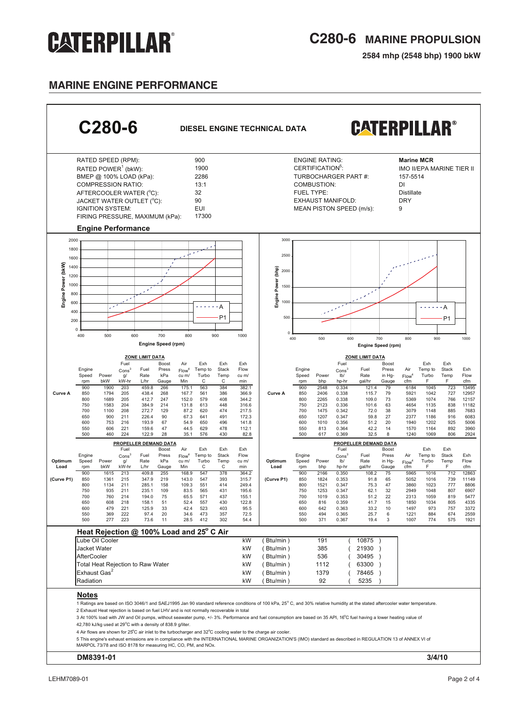## **C280-6 MARINE PROPULSION**

**2584 mhp (2548 bhp) 1900 bkW**

## **MARINE ENGINE PERFORMANCE**

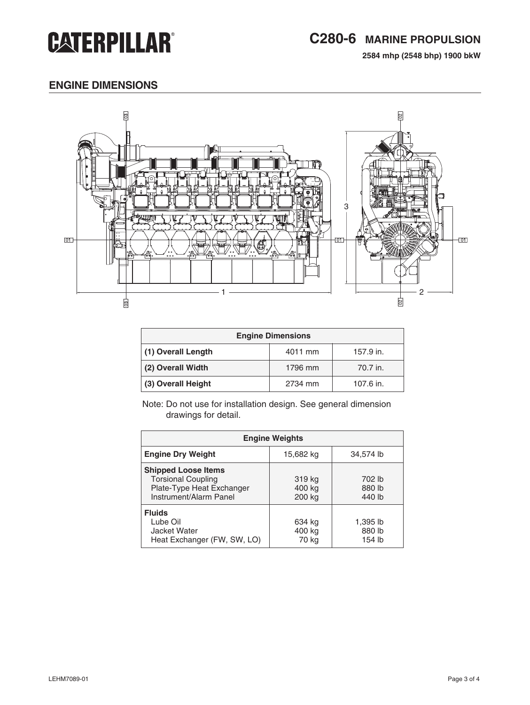## **C280-6 MARINE PROPULSION**

**2584 mhp (2548 bhp) 1900 bkW**

## **engine dimensions**



| <b>Engine Dimensions</b> |         |           |  |
|--------------------------|---------|-----------|--|
| (1) Overall Length       | 4011 mm | 157.9 in. |  |
| (2) Overall Width        | 1796 mm | 70.7 in.  |  |
| (3) Overall Height       | 2734 mm | 107.6 in. |  |

Note: Do not use for installation design. See general dimension drawings for detail.

| <b>Engine Weights</b>                                                                                          |                            |                              |  |
|----------------------------------------------------------------------------------------------------------------|----------------------------|------------------------------|--|
| <b>Engine Dry Weight</b>                                                                                       | 15,682 kg                  | 34,574 lb                    |  |
| <b>Shipped Loose Items</b><br><b>Torsional Coupling</b><br>Plate-Type Heat Exchanger<br>Instrument/Alarm Panel | 319 kg<br>400 kg<br>200 kg | 702 lb<br>880 lb<br>440 lb   |  |
| <b>Fluids</b><br>Lube Oil<br>Jacket Water<br>Heat Exchanger (FW, SW, LO)                                       | 634 kg<br>400 kg<br>70 kg  | 1,395 lb<br>880 lb<br>154 lb |  |